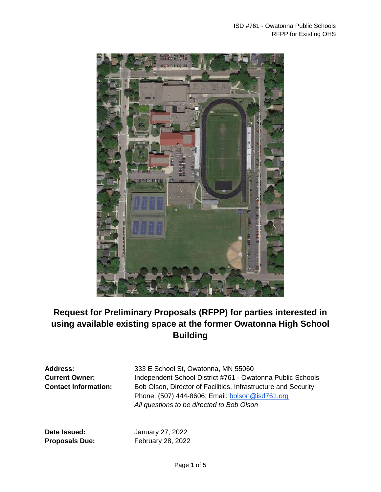

# **Request for Preliminary Proposals (RFPP) for parties interested in using available existing space at the former Owatonna High School Building**

**Address:** 333 E School St, Owatonna, MN 55060 **Current Owner:** Independent School District #761 - Owatonna Public Schools **Contact Information:** Bob Olson, Director of Facilities, Infrastructure and Security Phone: (507) 444-8606; Email: [bolson@isd761.org](mailto:bolson@isd761.org) *All questions to be directed to Bob Olson*

**Date Issued:** January 27, 2022 **Proposals Due:** February 28, 2022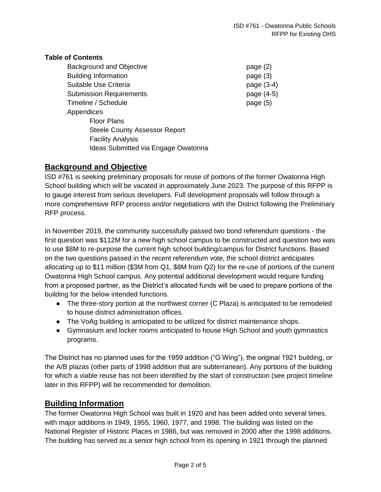#### **Table of Contents**

| page $(2)$ |
|------------|
| page (3)   |
| page (3-4) |
| page (4-5) |
| page $(5)$ |
|            |
|            |
|            |
|            |
|            |
|            |

## **Background and Objective**

ISD #761 is seeking preliminary proposals for reuse of portions of the former Owatonna High School building which will be vacated in approximately June 2023. The purpose of this RFPP is to gauge interest from serious developers. Full development proposals will follow through a more comprehensive RFP process and/or negotiations with the District following the Preliminary RFP process.

In November 2019, the community successfully passed two bond referendum questions - the first question was \$112M for a new high school campus to be constructed and question two was to use \$8M to re-purpose the current high school building/campus for District functions. Based on the two questions passed in the recent referendum vote, the school district anticipates allocating up to \$11 million (\$3M from Q1, \$8M from Q2) for the re-use of portions of the current Owatonna High School campus. Any potential additional development would require funding from a proposed partner, as the District's allocated funds will be used to prepare portions of the building for the below intended functions.

- The three-story portion at the northwest corner (C Plaza) is anticipated to be remodeled to house district administration offices.
- The VoAg building is anticipated to be utilized for district maintenance shops.
- Gymnasium and locker rooms anticipated to house High School and youth gymnastics programs.

The District has no planned uses for the 1959 addition ("G Wing"), the original 1921 building, or the A/B plazas (other parts of 1998 addition that are subterranean). Any portions of the building for which a viable reuse has not been identified by the start of construction (see project timeline later in this RFPP) will be recommended for demolition.

## **Building Information**

The former Owatonna High School was built in 1920 and has been added onto several times, with major additions in 1949, 1955, 1960, 1977, and 1998. The building was listed on the National Register of Historic Places in 1986, but was removed in 2000 after the 1998 additions. The building has served as a senior high school from its opening in 1921 through the planned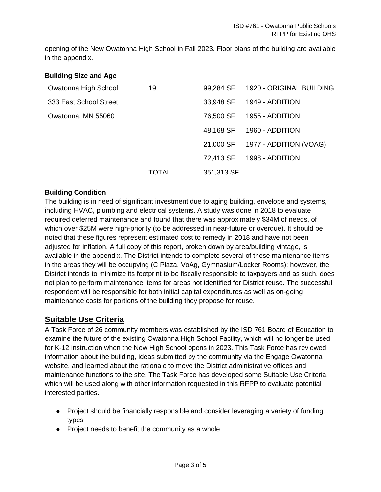opening of the New Owatonna High School in Fall 2023. Floor plans of the building are available in the appendix.

| <b>Building Size and Age</b> |       |            |                          |
|------------------------------|-------|------------|--------------------------|
| Owatonna High School         | 19    | 99,284 SF  | 1920 - ORIGINAL BUILDING |
| 333 East School Street       |       | 33,948 SF  | 1949 - ADDITION          |
| Owatonna, MN 55060           |       | 76,500 SF  | 1955 - ADDITION          |
|                              |       | 48,168 SF  | 1960 - ADDITION          |
|                              |       | 21,000 SF  | 1977 - ADDITION (VOAG)   |
|                              |       | 72,413 SF  | 1998 - ADDITION          |
|                              | TOTAL | 351,313 SF |                          |

#### **Building Condition**

The building is in need of significant investment due to aging building, envelope and systems, including HVAC, plumbing and electrical systems. A study was done in 2018 to evaluate required deferred maintenance and found that there was approximately \$34M of needs, of which over \$25M were high-priority (to be addressed in near-future or overdue). It should be noted that these figures represent estimated cost to remedy in 2018 and have not been adjusted for inflation. A full copy of this report, broken down by area/building vintage, is available in the appendix. The District intends to complete several of these maintenance items in the areas they will be occupying (C Plaza, VoAg, Gymnasium/Locker Rooms); however, the District intends to minimize its footprint to be fiscally responsible to taxpayers and as such, does not plan to perform maintenance items for areas not identified for District reuse. The successful respondent will be responsible for both initial capital expenditures as well as on-going maintenance costs for portions of the building they propose for reuse.

## **Suitable Use Criteria**

A Task Force of 26 community members was established by the ISD 761 Board of Education to examine the future of the existing Owatonna High School Facility, which will no longer be used for K-12 instruction when the New High School opens in 2023. This Task Force has reviewed information about the building, ideas submitted by the community via the Engage Owatonna website, and learned about the rationale to move the District administrative offices and maintenance functions to the site. The Task Force has developed some Suitable Use Criteria, which will be used along with other information requested in this RFPP to evaluate potential interested parties.

- Project should be financially responsible and consider leveraging a variety of funding types
- Project needs to benefit the community as a whole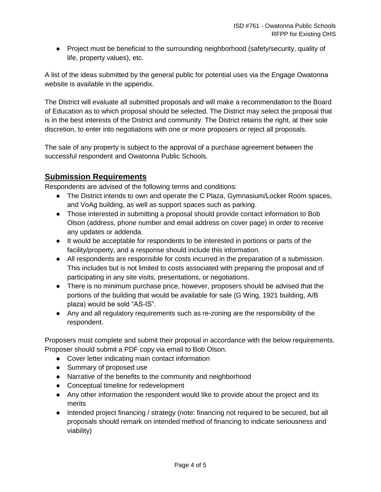● Project must be beneficial to the surrounding neighborhood (safety/security, quality of life, property values), etc.

A list of the ideas submitted by the general public for potential uses via the Engage Owatonna website is available in the appendix.

The District will evaluate all submitted proposals and will make a recommendation to the Board of Education as to which proposal should be selected. The District may select the proposal that is in the best interests of the District and community. The District retains the right, at their sole discretion, to enter into negotiations with one or more proposers or reject all proposals.

The sale of any property is subject to the approval of a purchase agreement between the successful respondent and Owatonna Public Schools.

# **Submission Requirements**

Respondents are advised of the following terms and conditions:

- The District intends to own and operate the C Plaza, Gymnasium/Locker Room spaces, and VoAg building, as well as support spaces such as parking.
- Those interested in submitting a proposal should provide contact information to Bob Olson (address, phone number and email address on cover page) in order to receive any updates or addenda.
- It would be acceptable for respondents to be interested in portions or parts of the facility/property, and a response should include this information.
- All respondents are responsible for costs incurred in the preparation of a submission. This includes but is not limited to costs associated with preparing the proposal and of participating in any site visits, presentations, or negotiations.
- There is no minimum purchase price, however, proposers should be advised that the portions of the building that would be available for sale (G Wing, 1921 building, A/B plaza) would be sold "AS-IS".
- Any and all regulatory requirements such as re-zoning are the responsibility of the respondent.

Proposers must complete and submit their proposal in accordance with the below requirements. Proposer should submit a PDF copy via email to Bob Olson.

- Cover letter indicating main contact information
- Summary of proposed use
- Narrative of the benefits to the community and neighborhood
- Conceptual timeline for redevelopment
- Any other information the respondent would like to provide about the project and its merits
- Intended project financing / strategy (note: financing not required to be secured, but all proposals should remark on intended method of financing to indicate seriousness and viability)